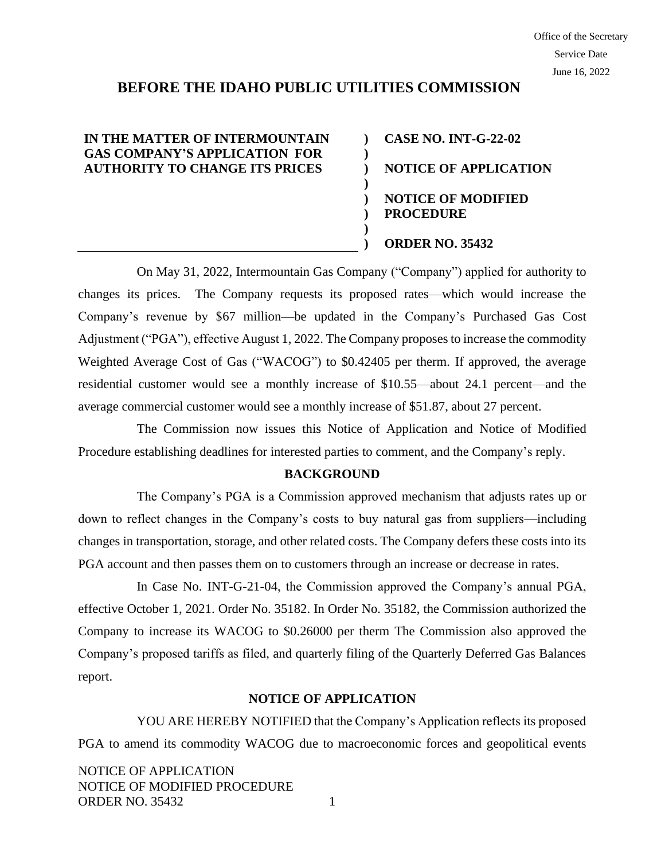# **BEFORE THE IDAHO PUBLIC UTILITIES COMMISSION**

**) ) ) ) ) ) ) )**

## **IN THE MATTER OF INTERMOUNTAIN GAS COMPANY'S APPLICATION FOR AUTHORITY TO CHANGE ITS PRICES**

**CASE NO. INT-G-22-02 NOTICE OF APPLICATION NOTICE OF MODIFIED PROCEDURE ORDER NO. 35432**

On May 31, 2022, Intermountain Gas Company ("Company") applied for authority to changes its prices. The Company requests its proposed rates—which would increase the Company's revenue by \$67 million—be updated in the Company's Purchased Gas Cost Adjustment ("PGA"), effective August 1, 2022. The Company proposes to increase the commodity Weighted Average Cost of Gas ("WACOG") to \$0.42405 per therm. If approved, the average residential customer would see a monthly increase of \$10.55—about 24.1 percent—and the average commercial customer would see a monthly increase of \$51.87, about 27 percent.

The Commission now issues this Notice of Application and Notice of Modified Procedure establishing deadlines for interested parties to comment, and the Company's reply.

#### **BACKGROUND**

The Company's PGA is a Commission approved mechanism that adjusts rates up or down to reflect changes in the Company's costs to buy natural gas from suppliers—including changes in transportation, storage, and other related costs. The Company defers these costs into its PGA account and then passes them on to customers through an increase or decrease in rates.

In Case No. INT-G-21-04, the Commission approved the Company's annual PGA, effective October 1, 2021. Order No. 35182. In Order No. 35182, the Commission authorized the Company to increase its WACOG to \$0.26000 per therm The Commission also approved the Company's proposed tariffs as filed, and quarterly filing of the Quarterly Deferred Gas Balances report.

### **NOTICE OF APPLICATION**

YOU ARE HEREBY NOTIFIED that the Company's Application reflects its proposed PGA to amend its commodity WACOG due to macroeconomic forces and geopolitical events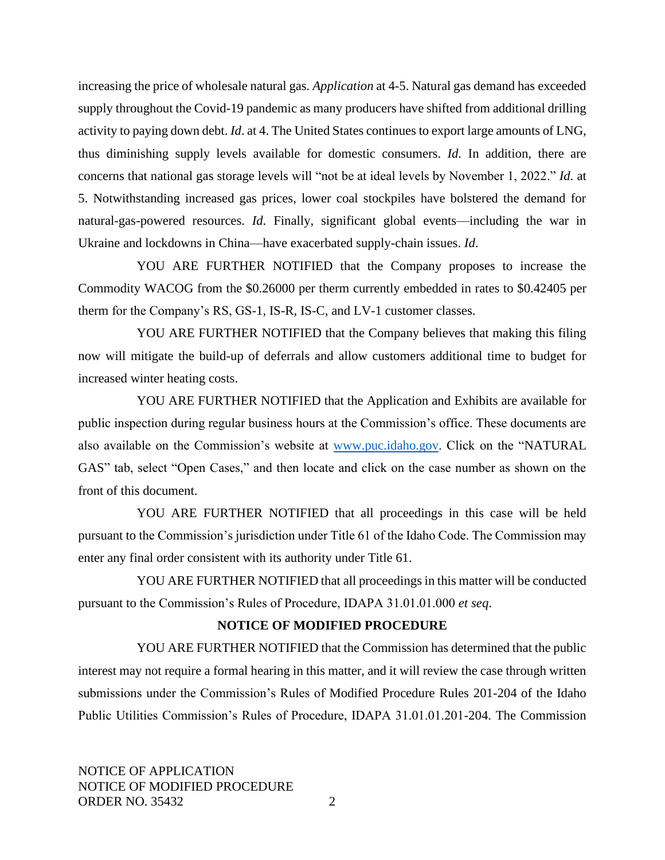increasing the price of wholesale natural gas. *Application* at 4-5. Natural gas demand has exceeded supply throughout the Covid-19 pandemic as many producers have shifted from additional drilling activity to paying down debt. *Id*. at 4. The United States continues to export large amounts of LNG, thus diminishing supply levels available for domestic consumers. *Id*. In addition, there are concerns that national gas storage levels will "not be at ideal levels by November 1, 2022." *Id*. at 5. Notwithstanding increased gas prices, lower coal stockpiles have bolstered the demand for natural-gas-powered resources. *Id*. Finally, significant global events—including the war in Ukraine and lockdowns in China—have exacerbated supply-chain issues. *Id*.

YOU ARE FURTHER NOTIFIED that the Company proposes to increase the Commodity WACOG from the \$0.26000 per therm currently embedded in rates to \$0.42405 per therm for the Company's RS, GS-1, IS-R, IS-C, and LV-1 customer classes.

YOU ARE FURTHER NOTIFIED that the Company believes that making this filing now will mitigate the build-up of deferrals and allow customers additional time to budget for increased winter heating costs.

YOU ARE FURTHER NOTIFIED that the Application and Exhibits are available for public inspection during regular business hours at the Commission's office. These documents are also available on the Commission's website at [www.puc.idaho.gov.](http://www.puc.idaho.gov/) Click on the "NATURAL GAS" tab, select "Open Cases," and then locate and click on the case number as shown on the front of this document.

YOU ARE FURTHER NOTIFIED that all proceedings in this case will be held pursuant to the Commission's jurisdiction under Title 61 of the Idaho Code. The Commission may enter any final order consistent with its authority under Title 61.

YOU ARE FURTHER NOTIFIED that all proceedings in this matter will be conducted pursuant to the Commission's Rules of Procedure, IDAPA 31.01.01.000 *et seq*.

### **NOTICE OF MODIFIED PROCEDURE**

YOU ARE FURTHER NOTIFIED that the Commission has determined that the public interest may not require a formal hearing in this matter, and it will review the case through written submissions under the Commission's Rules of Modified Procedure Rules 201-204 of the Idaho Public Utilities Commission's Rules of Procedure, IDAPA 31.01.01.201-204. The Commission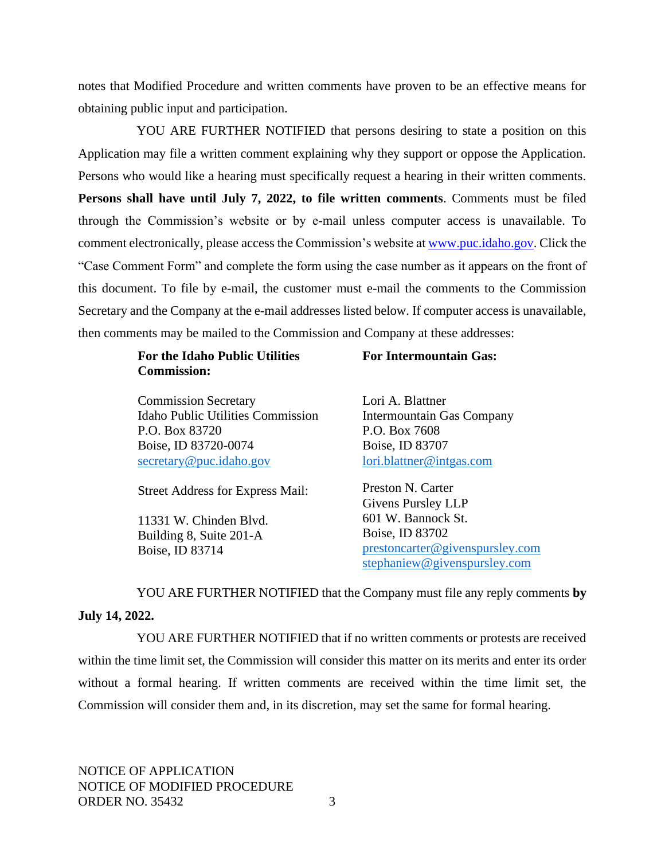notes that Modified Procedure and written comments have proven to be an effective means for obtaining public input and participation.

YOU ARE FURTHER NOTIFIED that persons desiring to state a position on this Application may file a written comment explaining why they support or oppose the Application. Persons who would like a hearing must specifically request a hearing in their written comments. **Persons shall have until July 7, 2022, to file written comments**. Comments must be filed through the Commission's website or by e-mail unless computer access is unavailable. To comment electronically, please access the Commission's website a[t www.puc.idaho.gov.](http://www.puc.idaho.gov/) Click the "Case Comment Form" and complete the form using the case number as it appears on the front of this document. To file by e-mail, the customer must e-mail the comments to the Commission Secretary and the Company at the e-mail addresses listed below. If computer access is unavailable, then comments may be mailed to the Commission and Company at these addresses:

| <b>For the Idaho Public Utilities</b><br><b>Commission:</b> | <b>For Intermountain Gas:</b>   |
|-------------------------------------------------------------|---------------------------------|
| <b>Commission Secretary</b>                                 | Lori A. Blattner                |
| Idaho Public Utilities Commission                           | Intermountain Gas Company       |
| P.O. Box 83720                                              | P.O. Box 7608                   |
| Boise, ID 83720-0074                                        | Boise, ID 83707                 |
| secretary@puc.idaho.gov                                     | lori.blattner@intgas.com        |
| <b>Street Address for Express Mail:</b>                     | Preston N. Carter               |
|                                                             | Givens Pursley LLP              |
| 11331 W. Chinden Blyd.                                      | 601 W. Bannock St.              |
| Building 8, Suite 201-A                                     | Boise, ID 83702                 |
| Boise, ID 83714                                             | prestoncarter@givenspursley.com |
|                                                             | stephaniew@givenspursley.com    |

YOU ARE FURTHER NOTIFIED that the Company must file any reply comments **by July 14, 2022.**

YOU ARE FURTHER NOTIFIED that if no written comments or protests are received within the time limit set, the Commission will consider this matter on its merits and enter its order without a formal hearing. If written comments are received within the time limit set, the Commission will consider them and, in its discretion, may set the same for formal hearing.